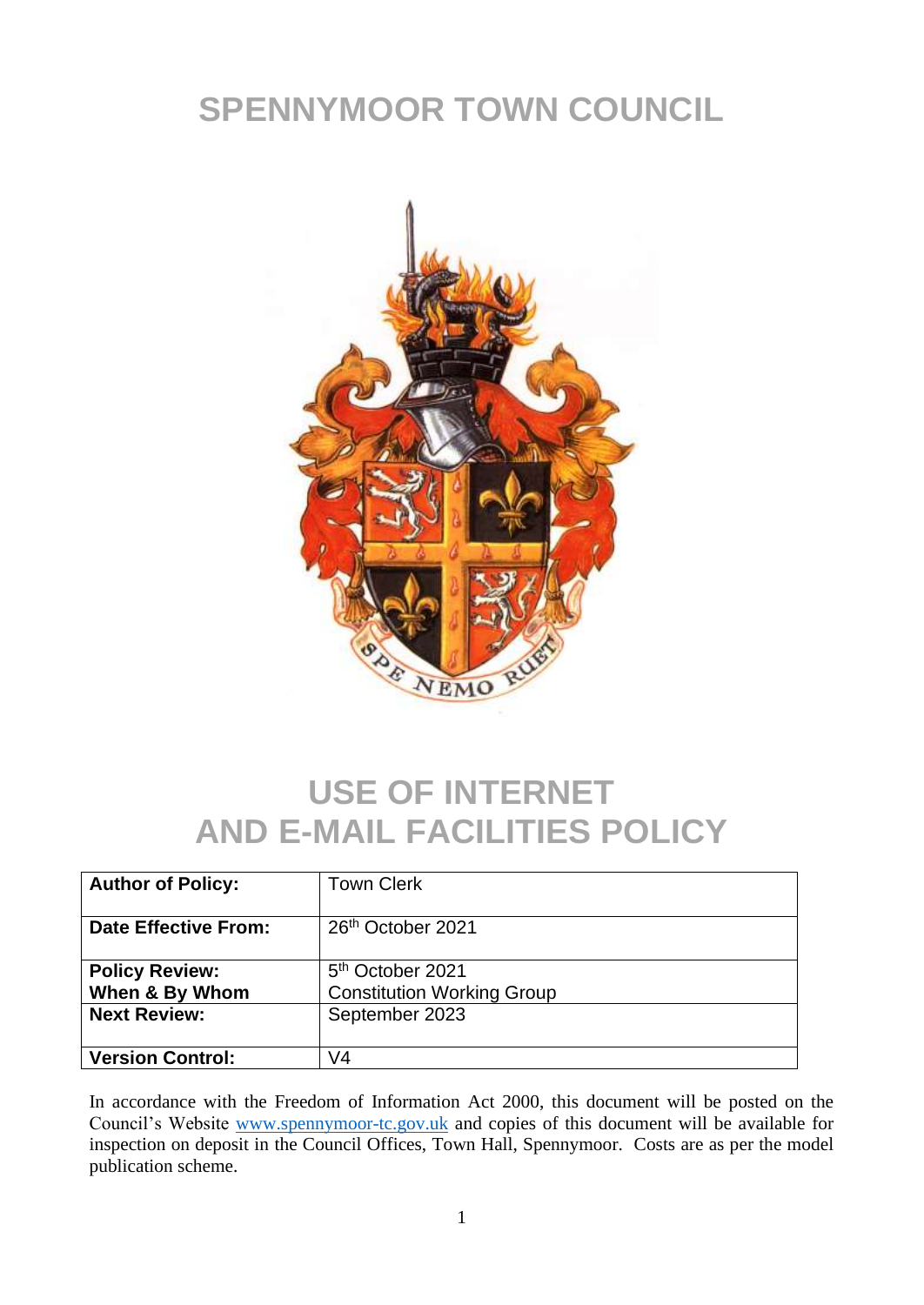## **SPENNYMOOR TOWN COUNCIL**



## **USE OF INTERNET AND E-MAIL FACILITIES POLICY**

| <b>Author of Policy:</b>                | <b>Town Clerk</b>                                                 |
|-----------------------------------------|-------------------------------------------------------------------|
| <b>Date Effective From:</b>             | 26 <sup>th</sup> October 2021                                     |
| <b>Policy Review:</b><br>When & By Whom | 5 <sup>th</sup> October 2021<br><b>Constitution Working Group</b> |
| <b>Next Review:</b>                     | September 2023                                                    |
| <b>Version Control:</b>                 | V4                                                                |

In accordance with the Freedom of Information Act 2000, this document will be posted on the Council's Website [www.spennymoor-tc.gov.uk](http://www.spennymoor-tc.gov.uk/) and copies of this document will be available for inspection on deposit in the Council Offices, Town Hall, Spennymoor. Costs are as per the model publication scheme.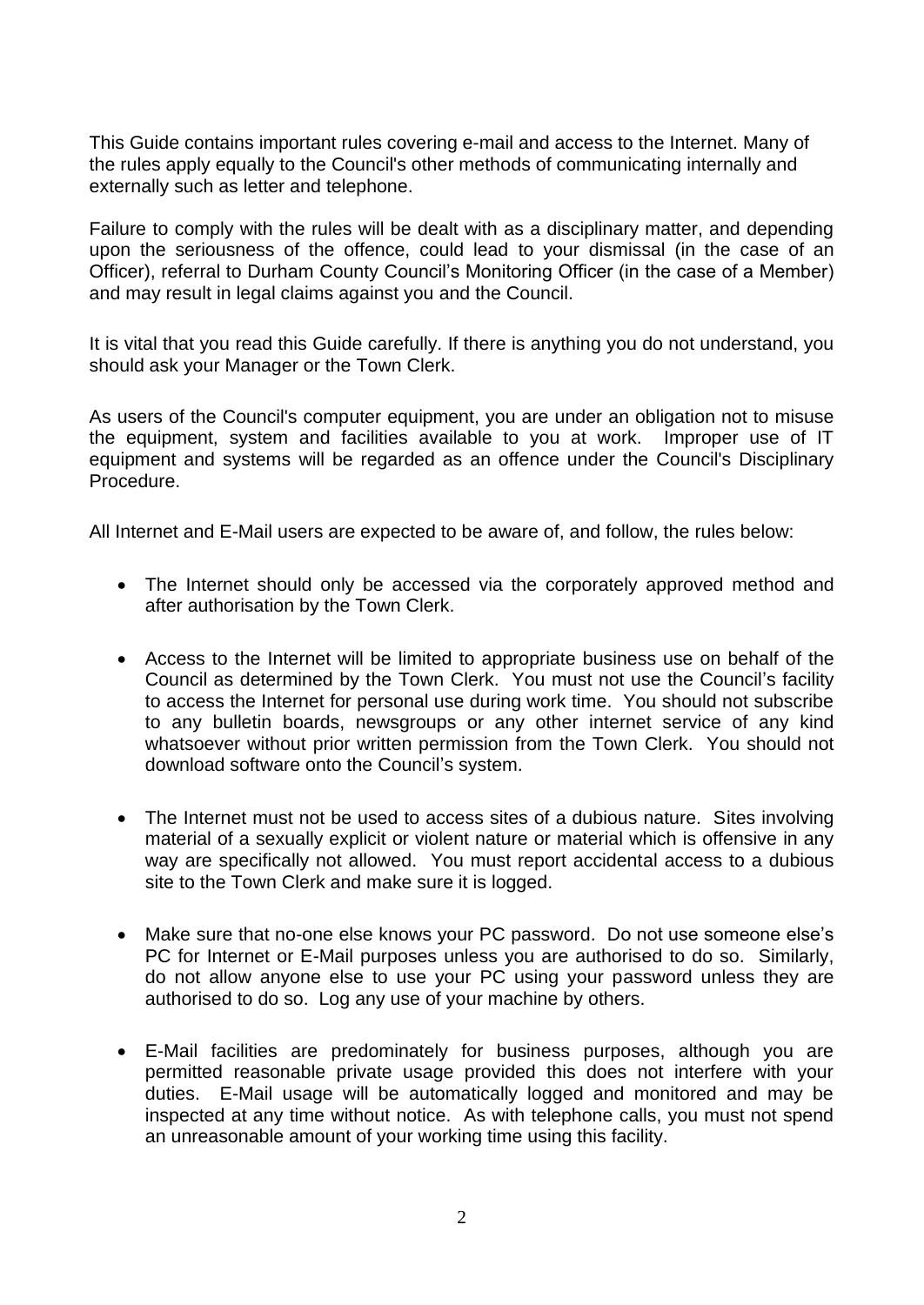This Guide contains important rules covering e-mail and access to the Internet. Many of the rules apply equally to the Council's other methods of communicating internally and externally such as letter and telephone.

Failure to comply with the rules will be dealt with as a disciplinary matter, and depending upon the seriousness of the offence, could lead to your dismissal (in the case of an Officer), referral to Durham County Council's Monitoring Officer (in the case of a Member) and may result in legal claims against you and the Council.

It is vital that you read this Guide carefully. If there is anything you do not understand, you should ask your Manager or the Town Clerk.

As users of the Council's computer equipment, you are under an obligation not to misuse the equipment, system and facilities available to you at work. Improper use of IT equipment and systems will be regarded as an offence under the Council's Disciplinary Procedure.

All Internet and E-Mail users are expected to be aware of, and follow, the rules below:

- The Internet should only be accessed via the corporately approved method and after authorisation by the Town Clerk.
- Access to the Internet will be limited to appropriate business use on behalf of the Council as determined by the Town Clerk. You must not use the Council's facility to access the Internet for personal use during work time. You should not subscribe to any bulletin boards, newsgroups or any other internet service of any kind whatsoever without prior written permission from the Town Clerk. You should not download software onto the Council's system.
- The Internet must not be used to access sites of a dubious nature. Sites involving material of a sexually explicit or violent nature or material which is offensive in any way are specifically not allowed. You must report accidental access to a dubious site to the Town Clerk and make sure it is logged.
- Make sure that no-one else knows your PC password. Do not use someone else's PC for Internet or E-Mail purposes unless you are authorised to do so. Similarly, do not allow anyone else to use your PC using your password unless they are authorised to do so. Log any use of your machine by others.
- E-Mail facilities are predominately for business purposes, although you are permitted reasonable private usage provided this does not interfere with your duties. E-Mail usage will be automatically logged and monitored and may be inspected at any time without notice. As with telephone calls, you must not spend an unreasonable amount of your working time using this facility.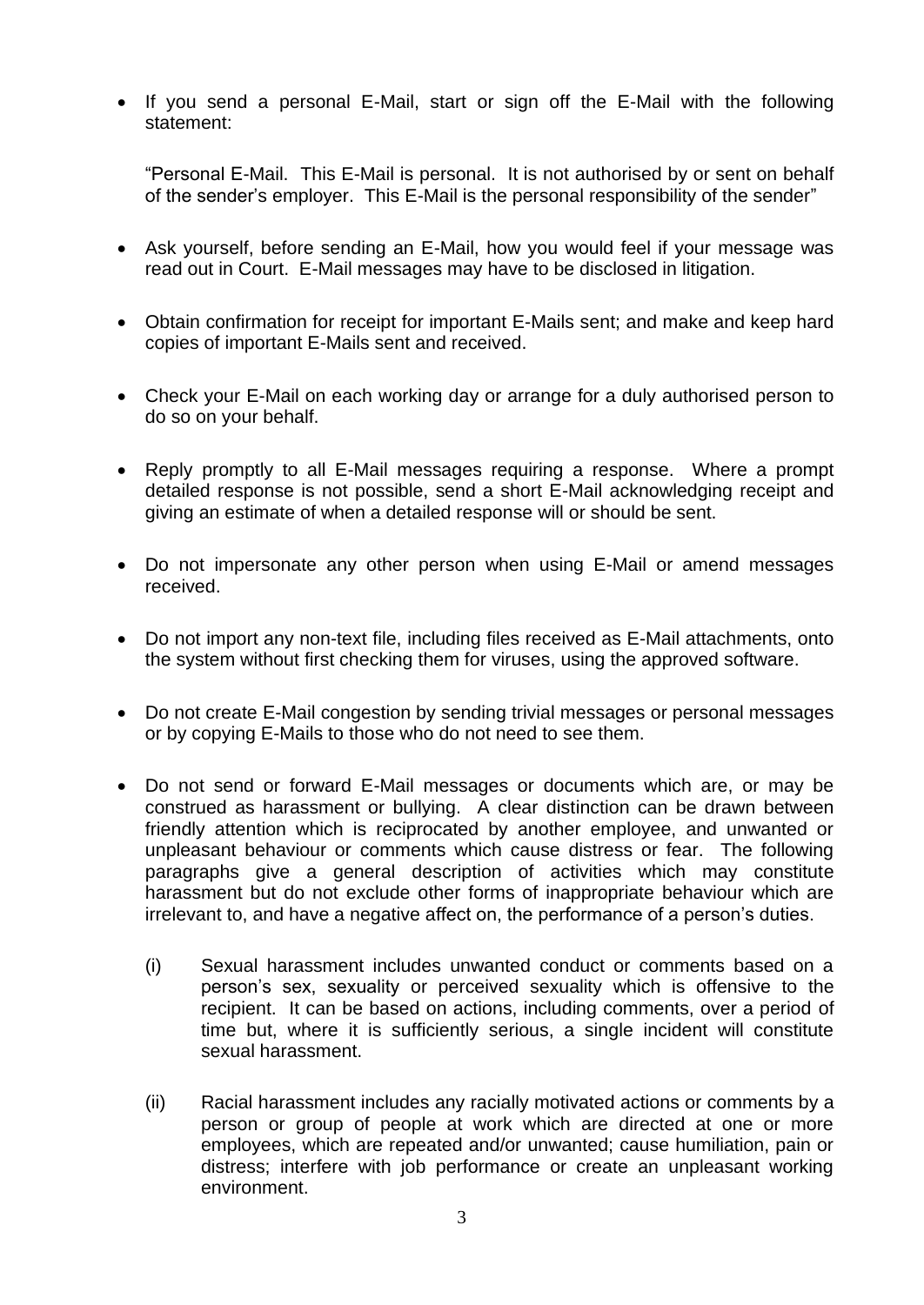• If you send a personal E-Mail, start or sign off the E-Mail with the following statement:

"Personal E-Mail. This E-Mail is personal. It is not authorised by or sent on behalf of the sender's employer. This E-Mail is the personal responsibility of the sender"

- Ask yourself, before sending an E-Mail, how you would feel if your message was read out in Court. E-Mail messages may have to be disclosed in litigation.
- Obtain confirmation for receipt for important E-Mails sent; and make and keep hard copies of important E-Mails sent and received.
- Check your E-Mail on each working day or arrange for a duly authorised person to do so on your behalf.
- Reply promptly to all E-Mail messages requiring a response. Where a prompt detailed response is not possible, send a short E-Mail acknowledging receipt and giving an estimate of when a detailed response will or should be sent.
- Do not impersonate any other person when using E-Mail or amend messages received.
- Do not import any non-text file, including files received as E-Mail attachments, onto the system without first checking them for viruses, using the approved software.
- Do not create E-Mail congestion by sending trivial messages or personal messages or by copying E-Mails to those who do not need to see them.
- Do not send or forward E-Mail messages or documents which are, or may be construed as harassment or bullying. A clear distinction can be drawn between friendly attention which is reciprocated by another employee, and unwanted or unpleasant behaviour or comments which cause distress or fear. The following paragraphs give a general description of activities which may constitute harassment but do not exclude other forms of inappropriate behaviour which are irrelevant to, and have a negative affect on, the performance of a person's duties.
	- (i) Sexual harassment includes unwanted conduct or comments based on a person's sex, sexuality or perceived sexuality which is offensive to the recipient. It can be based on actions, including comments, over a period of time but, where it is sufficiently serious, a single incident will constitute sexual harassment.
	- (ii) Racial harassment includes any racially motivated actions or comments by a person or group of people at work which are directed at one or more employees, which are repeated and/or unwanted; cause humiliation, pain or distress; interfere with job performance or create an unpleasant working environment.